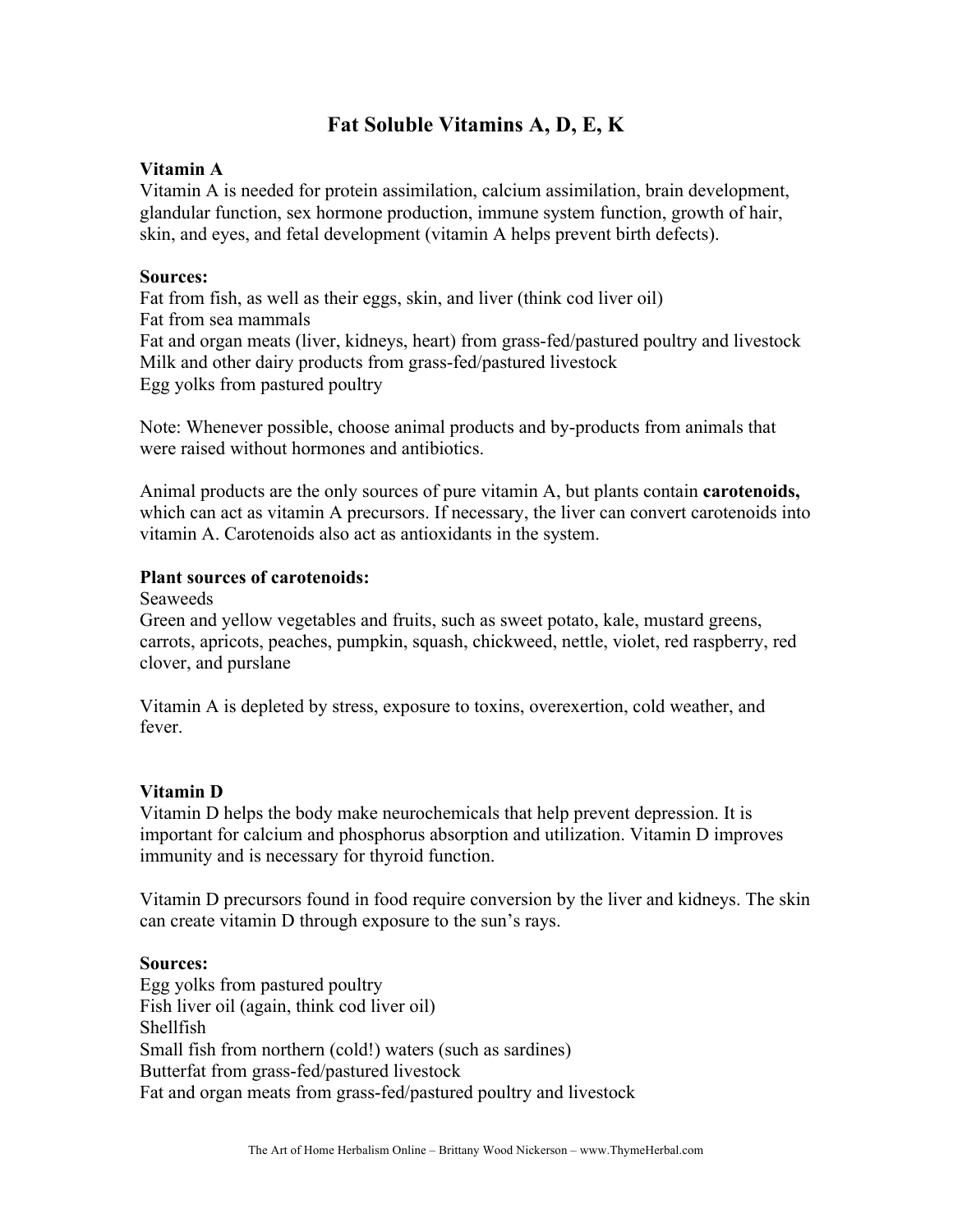# **Fat Soluble Vitamins A, D, E, K**

### **Vitamin A**

Vitamin A is needed for protein assimilation, calcium assimilation, brain development, glandular function, sex hormone production, immune system function, growth of hair, skin, and eyes, and fetal development (vitamin A helps prevent birth defects).

### **Sources:**

Fat from fish, as well as their eggs, skin, and liver (think cod liver oil) Fat from sea mammals Fat and organ meats (liver, kidneys, heart) from grass-fed/pastured poultry and livestock Milk and other dairy products from grass-fed/pastured livestock Egg yolks from pastured poultry

Note: Whenever possible, choose animal products and by-products from animals that were raised without hormones and antibiotics.

Animal products are the only sources of pure vitamin A, but plants contain **carotenoids,** which can act as vitamin A precursors. If necessary, the liver can convert carotenoids into vitamin A. Carotenoids also act as antioxidants in the system.

### **Plant sources of carotenoids:**

Seaweeds

Green and yellow vegetables and fruits, such as sweet potato, kale, mustard greens, carrots, apricots, peaches, pumpkin, squash, chickweed, nettle, violet, red raspberry, red clover, and purslane

Vitamin A is depleted by stress, exposure to toxins, overexertion, cold weather, and fever.

## **Vitamin D**

Vitamin D helps the body make neurochemicals that help prevent depression. It is important for calcium and phosphorus absorption and utilization. Vitamin D improves immunity and is necessary for thyroid function.

Vitamin D precursors found in food require conversion by the liver and kidneys. The skin can create vitamin D through exposure to the sun's rays.

## **Sources:**

Egg yolks from pastured poultry Fish liver oil (again, think cod liver oil) Shellfish Small fish from northern (cold!) waters (such as sardines) Butterfat from grass-fed/pastured livestock Fat and organ meats from grass-fed/pastured poultry and livestock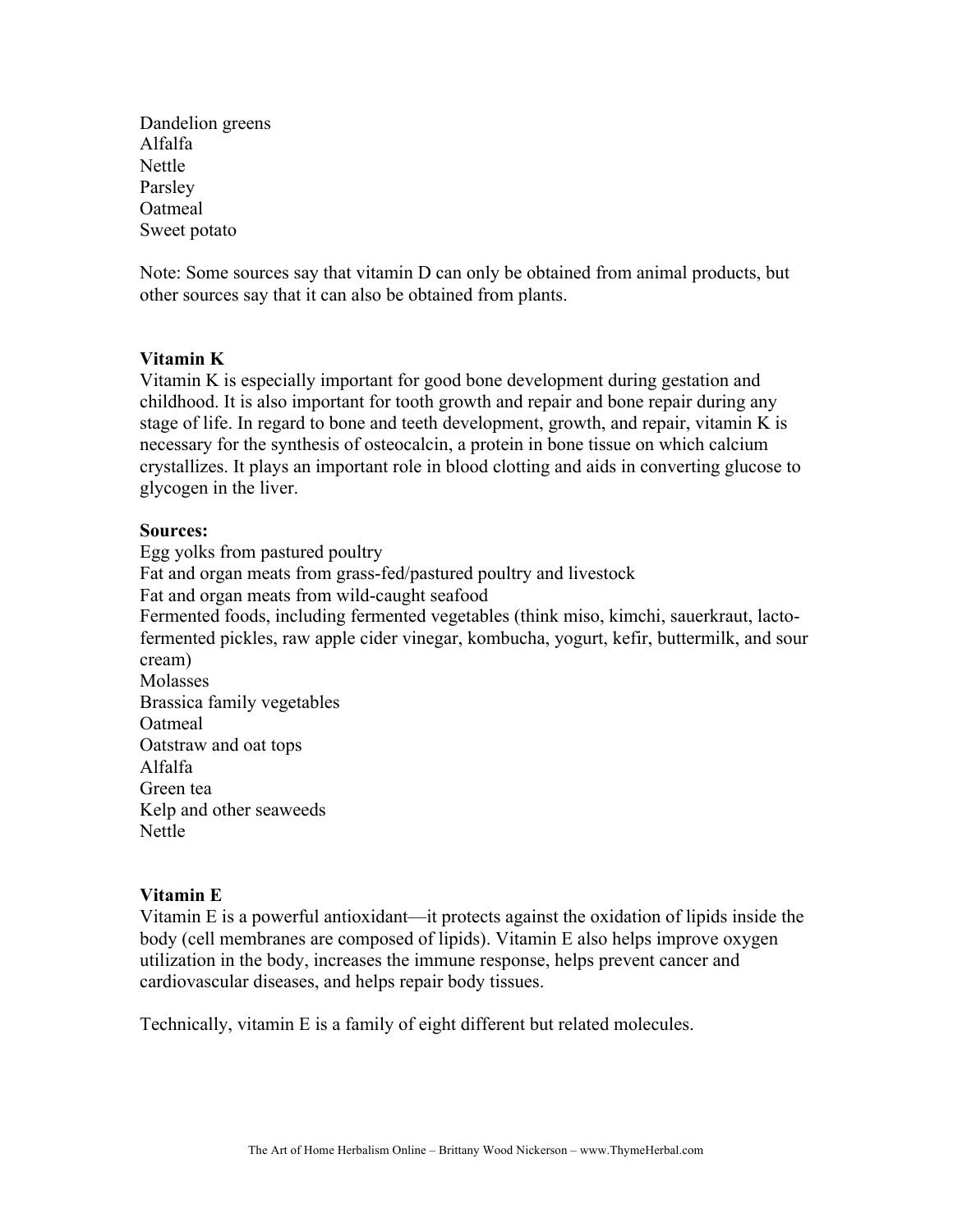Dandelion greens Alfalfa Nettle Parsley Oatmeal Sweet potato

Note: Some sources say that vitamin D can only be obtained from animal products, but other sources say that it can also be obtained from plants.

#### **Vitamin K**

Vitamin K is especially important for good bone development during gestation and childhood. It is also important for tooth growth and repair and bone repair during any stage of life. In regard to bone and teeth development, growth, and repair, vitamin K is necessary for the synthesis of osteocalcin, a protein in bone tissue on which calcium crystallizes. It plays an important role in blood clotting and aids in converting glucose to glycogen in the liver.

#### **Sources:**

Egg yolks from pastured poultry Fat and organ meats from grass-fed/pastured poultry and livestock Fat and organ meats from wild-caught seafood Fermented foods, including fermented vegetables (think miso, kimchi, sauerkraut, lactofermented pickles, raw apple cider vinegar, kombucha, yogurt, kefir, buttermilk, and sour cream) Molasses Brassica family vegetables Oatmeal Oatstraw and oat tops Alfalfa Green tea Kelp and other seaweeds Nettle

#### **Vitamin E**

Vitamin E is a powerful antioxidant—it protects against the oxidation of lipids inside the body (cell membranes are composed of lipids). Vitamin E also helps improve oxygen utilization in the body, increases the immune response, helps prevent cancer and cardiovascular diseases, and helps repair body tissues.

Technically, vitamin E is a family of eight different but related molecules.